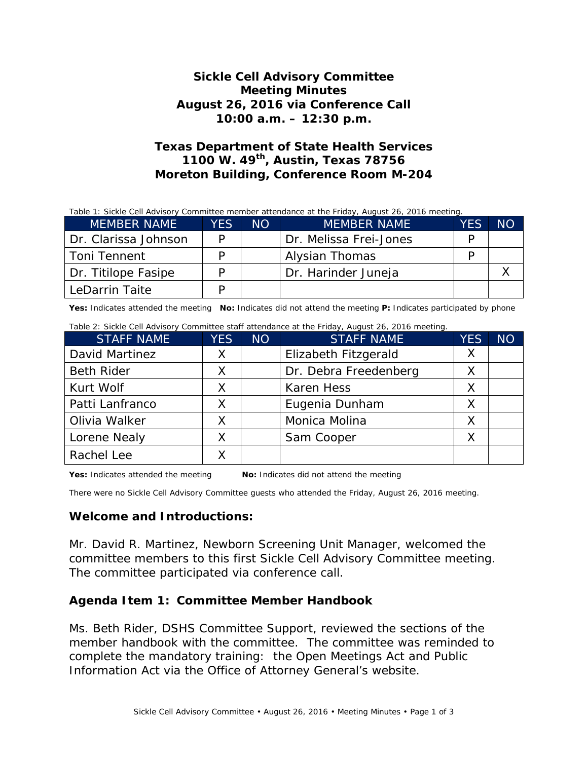### **Sickle Cell Advisory Committee Meeting Minutes August 26, 2016 via Conference Call 10:00 a.m. – 12:30 p.m.**

## **Texas Department of State Health Services 1100 W. 49th, Austin, Texas 78756 Moreton Building, Conference Room M-204**

| Table 1: Sickle Cell Advisory Committee member attendance at the Friday, August 26, 2016 meeting. |            |     |                        |     |     |  |  |  |  |
|---------------------------------------------------------------------------------------------------|------------|-----|------------------------|-----|-----|--|--|--|--|
| <b>MEMBER NAME</b>                                                                                | <b>YES</b> | NO. | <b>MEMBER NAME</b>     | YES | NO. |  |  |  |  |
| Dr. Clarissa Johnson                                                                              | P          |     | Dr. Melissa Frei-Jones | D   |     |  |  |  |  |
| Toni Tennent                                                                                      | D          |     | Alysian Thomas         | D   |     |  |  |  |  |
| Dr. Titilope Fasipe                                                                               | D          |     | Dr. Harinder Juneja    |     |     |  |  |  |  |
| LeDarrin Taite                                                                                    |            |     |                        |     |     |  |  |  |  |

**Yes:** Indicates attended the meeting **No:** Indicates did not attend the meeting **P:** Indicates participated by phone

| Table 2: Sickle Cell Advisory Committee staff attendance at the Friday, August 26, 2016 meeting. |            |     |                       |            |           |  |  |
|--------------------------------------------------------------------------------------------------|------------|-----|-----------------------|------------|-----------|--|--|
| <b>STAFF NAME</b>                                                                                | <b>YES</b> | NO. | <b>STAFF NAME</b>     | <b>YES</b> | <b>NO</b> |  |  |
| David Martinez                                                                                   | X.         |     | Elizabeth Fitzgerald  | X          |           |  |  |
| <b>Beth Rider</b>                                                                                | X          |     | Dr. Debra Freedenberg | Χ          |           |  |  |
| Kurt Wolf                                                                                        | Х          |     | <b>Karen Hess</b>     | X          |           |  |  |
| Patti Lanfranco                                                                                  | X          |     | Eugenia Dunham        | X          |           |  |  |
| Olivia Walker                                                                                    | X          |     | Monica Molina         | X          |           |  |  |
| Lorene Nealy                                                                                     | X          |     | Sam Cooper            | X          |           |  |  |
| Rachel Lee                                                                                       |            |     |                       |            |           |  |  |

**Yes:** Indicates attended the meeting **No:** Indicates did not attend the meeting

There were no Sickle Cell Advisory Committee guests who attended the Friday, August 26, 2016 meeting.

#### **Welcome and Introductions:**

Mr. David R. Martinez, Newborn Screening Unit Manager, welcomed the committee members to this first Sickle Cell Advisory Committee meeting. The committee participated via conference call.

#### **Agenda Item 1: Committee Member Handbook**

Ms. Beth Rider, DSHS Committee Support, reviewed the sections of the member handbook with the committee. The committee was reminded to complete the mandatory training: the Open Meetings Act and Public Information Act via the Office of Attorney General's website.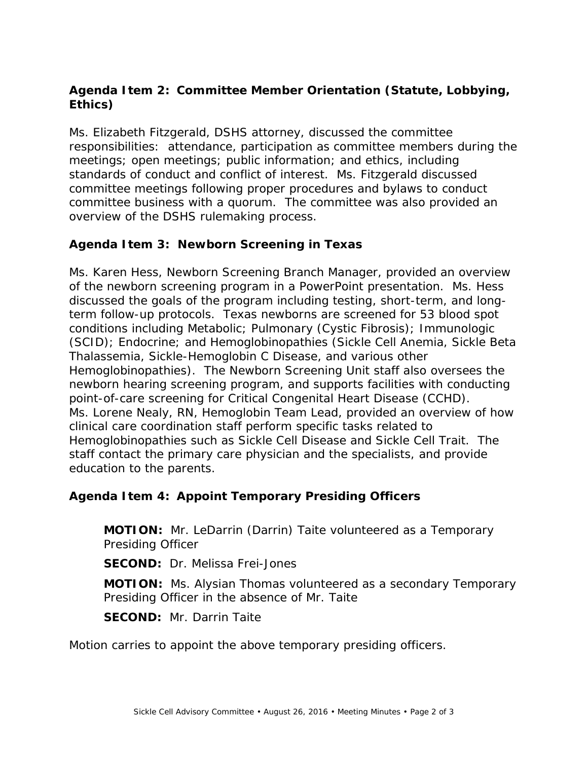# **Agenda Item 2: Committee Member Orientation (Statute, Lobbying, Ethics)**

Ms. Elizabeth Fitzgerald, DSHS attorney, discussed the committee responsibilities: attendance, participation as committee members during the meetings; open meetings; public information; and ethics, including standards of conduct and conflict of interest. Ms. Fitzgerald discussed committee meetings following proper procedures and bylaws to conduct committee business with a quorum. The committee was also provided an overview of the DSHS rulemaking process.

## **Agenda Item 3: Newborn Screening in Texas**

Ms. Karen Hess, Newborn Screening Branch Manager, provided an overview of the newborn screening program in a PowerPoint presentation. Ms. Hess discussed the goals of the program including testing, short-term, and longterm follow-up protocols. Texas newborns are screened for 53 blood spot conditions including Metabolic; Pulmonary (Cystic Fibrosis); Immunologic (SCID); Endocrine; and Hemoglobinopathies (Sickle Cell Anemia, Sickle Beta Thalassemia, Sickle-Hemoglobin C Disease, and various other Hemoglobinopathies). The Newborn Screening Unit staff also oversees the newborn hearing screening program, and supports facilities with conducting point-of-care screening for Critical Congenital Heart Disease (CCHD). Ms. Lorene Nealy, RN, Hemoglobin Team Lead, provided an overview of how clinical care coordination staff perform specific tasks related to Hemoglobinopathies such as Sickle Cell Disease and Sickle Cell Trait. The staff contact the primary care physician and the specialists, and provide education to the parents.

### **Agenda Item 4: Appoint Temporary Presiding Officers**

**MOTION:** Mr. LeDarrin (Darrin) Taite volunteered as a Temporary Presiding Officer

**SECOND:** Dr. Melissa Frei-Jones

**MOTION:** Ms. Alysian Thomas volunteered as a secondary Temporary Presiding Officer in the absence of Mr. Taite

**SECOND:** Mr. Darrin Taite

Motion carries to appoint the above temporary presiding officers.